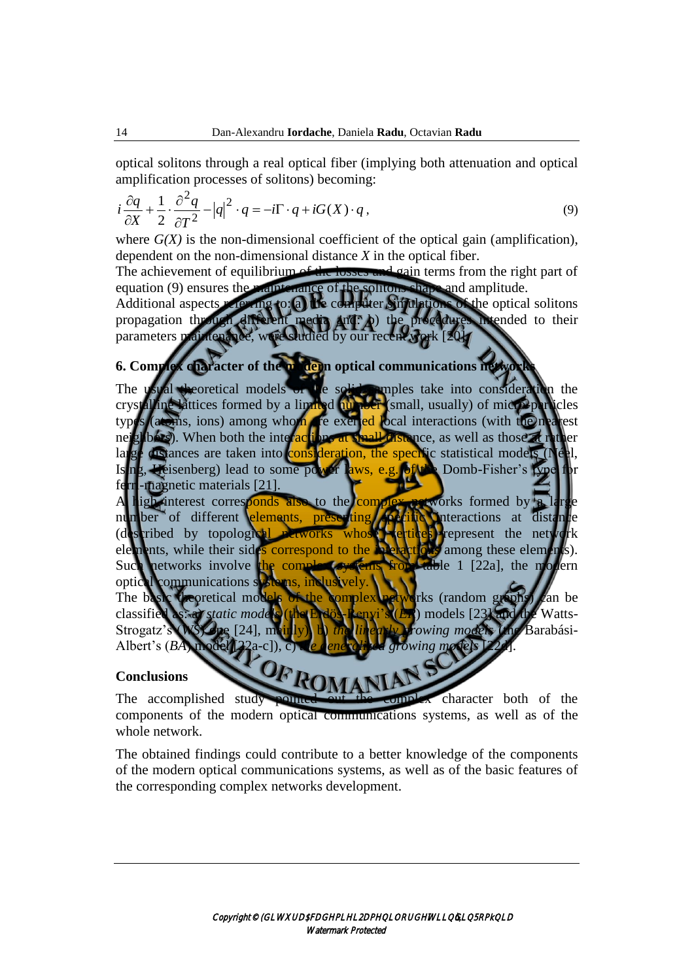optical solitons through a real optical fiber (implying both attenuation and optical amplification processes of solitons) becoming:

$$
i\frac{\partial q}{\partial X} + \frac{1}{2} \cdot \frac{\partial^2 q}{\partial T^2} - |q|^2 \cdot q = -i\Gamma \cdot q + iG(X) \cdot q,
$$
\n(9)

where  $G(X)$  is the non-dimensional coefficient of the optical gain (amplification), dependent on the non-dimensional distance *X* in the optical fiber.

The achievement of equilibrium of the losses and gain terms from the right part of equation (9) ensures the maintenance of the solitons shape and amplitude.

Additional aspects referring to: a) the computer simulations of the optical solitons propagation through different media and: b) the procedures intended to their parameters maintenance, were studied by our recent work

## **6. Complex character of the modern optical communications networks**

The usual theoretical models of the solid samples take into consideration the crystalline lattices formed by a limited number (small, usually) of micro-particles types (atoms, ions) among whom are exerted local interactions (with the nearest neighbors). When both the interactions at small distance, as well as those at r  $\log_e$  distances are taken into consideration, the specific statistical models ( $\log_e$ ) Is ng, Heisenberg) lead to some power laws, e.g. of the Domb-Fisher's type ferri-magnetic materials [21].

igh interest corresponds also to the complex networks formed by a number of different elements, presenting specific interactions at distance (described by topological networks whose vertices) represent the network elements, while their sides correspond to the **interactions** among these elements Such networks involve the complex systems from table 1 [22a], the model optical communications s

The basic theoretical models of the complex networks (random graphs) can be classified as: a) *static models* (the Erdös-Renyi's (*ER*) models [23] and the Watts-Strogatz's (*WS*) one [24], mainly), b) *the linearly growing models* (the Barabási-Albert's (*BA*) model [22a-c]), c) we generally edgrowing model

## **Conclusions**

The accomplished study pointed out the complex character both of the components of the modern optical communications systems, as well as of the whole network.

The obtained findings could contribute to a better knowledge of the components of the modern optical communications systems, as well as of the basic features of the corresponding complex networks development.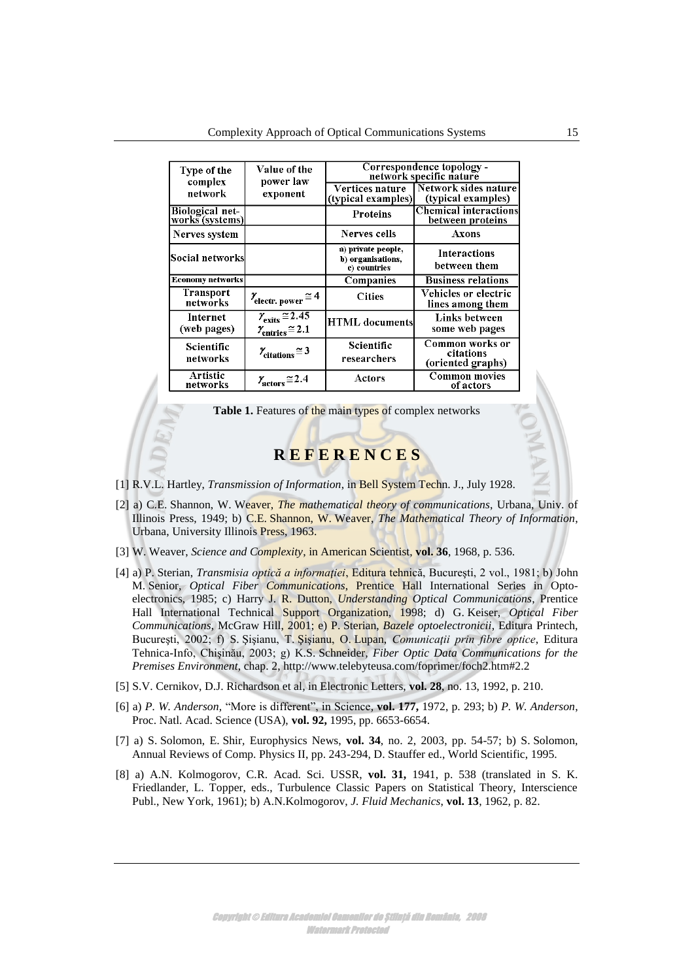| Type of the<br>complex<br>network  | Value of the<br>power law<br>exponent                                                     | Correspondence topology -<br>network specific nature    |                                                   |
|------------------------------------|-------------------------------------------------------------------------------------------|---------------------------------------------------------|---------------------------------------------------|
|                                    |                                                                                           | Vertices nature<br>(typical examples)                   | Network sides nature<br>(typical examples)        |
| Biological net-<br>works (systems) |                                                                                           | Proteins                                                | Chemical interactions<br>between proteins         |
| Nerves system                      |                                                                                           | Nerves cells                                            | Axons                                             |
| Social networks                    |                                                                                           | a) private people,<br>b) organisations,<br>c) countries | <b>Interactions</b><br>between them               |
| <b>Economy networks</b>            |                                                                                           | Companies                                               | <b>Business relations</b>                         |
| <b>Transport</b><br>networks       | $\gamma_{\text{electr. power}} \approx 4$                                                 | <b>Cities</b>                                           | Vehicles or electric<br>lines among them          |
| Internet<br>(web pages)            | $\gamma_{\text{exists}} \approx 2.\overline{45}$<br>$\gamma_{\text{entries}} \approx 2.1$ | <b>HTML</b> documents                                   | Links between<br>some web pages                   |
| Scientific<br>networks             | $\chi$ <sub>citations</sub> $\approx$ 3                                                   | Scientific<br>researchers                               | Common works or<br>citations<br>(oriented graphs) |
| Artistic<br>networks               | $\gamma_{\text{actors}} \approx 2.4$                                                      | Actors                                                  | Common movies<br>of actors                        |

Table 1. Features of the main types of complex networks

## **R E F E R E N C E S**

- [1] R.V.L. Hartley, *Transmission of Information*, in Bell System Techn. J., July 1928.
- [2] a) C.E. Shannon, W. Weaver, *The mathematical theory of communications*, Urbana, Univ. of Illinois Press, 1949; b) C.E. Shannon, W. Weaver, *The Mathematical Theory of Information*, Urbana, University Illinois Press, 1963.
- [3] W. Weaver, *Science and Complexity*, in American Scientist, **vol. 36**, 1968, p. 536.
- [4] a) P. Sterian, *Transmisia optică a informaţiei*, Editura tehnică, Bucureşti, 2 vol., 1981; b) John M. Senior, *Optical Fiber Communications*, Prentice Hall International Series in Optoelectronics, 1985; c) Harry J. R. Dutton, *Understanding Optical Communications*, Prentice Hall International Technical Support Organization, 1998; d) G. Keiser, *Optical Fiber Communications*, McGraw Hill, 2001; e) P. Sterian, *Bazele optoelectronicii*, Editura Printech, Bucureşti, 2002; f) S. Şişianu, T. Şişianu, O. Lupan, *Comunicaţii prin fibre optice*, Editura Tehnica-Info, Chişinău, 2003; g) K.S. Schneider*, Fiber Optic Data Communications for the Premises Environment*, chap. 2,<http://www.telebyteusa.com/foprimer/foch2.htm#2.2>
- [5] S.V. Cernikov, D.J. Richardson et al*,* in Electronic Letters, **vol. 28**, no. 13, 1992, p. 210.
- [6] a) *P. W. Anderson,* "More is different", in Science*,* **vol. 177,** 1972, p. 293; b) *P. W. Anderson*, Proc. Natl. Acad. Science (USA), **vol. 92,** 1995, pp. 6653-6654.
- [7] a) S. Solomon, E. Shir*,* Europhysics News, **vol. 34**, no. 2, 2003, pp. 54-57; b) S. Solomon, Annual Reviews of Comp. Physics II, pp. 243-294, D. Stauffer ed., World Scientific, 1995.
- [8] a) A.N. Kolmogorov, C.R. Acad. Sci. USSR, **vol. 31,** 1941, p. 538 (translated in S. K. Friedlander, L. Topper, eds., Turbulence Classic Papers on Statistical Theory, Interscience Publ., New York, 1961); b) A.N.Kolmogorov, *J. Fluid Mechanics*, **vol. 13**, 1962, p. 82.